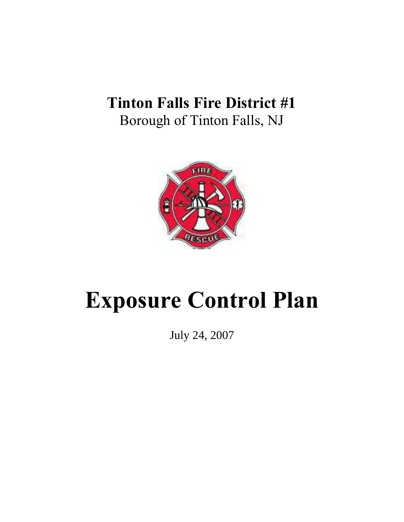## **Tinton Falls Fire District #1** Borough of Tinton Falls, NJ



# **Exposure Control Plan**

July 24, 2007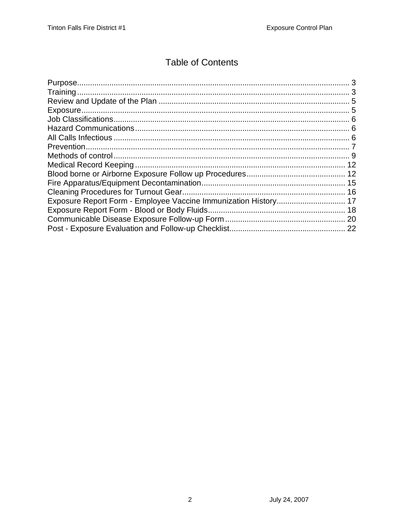#### **Table of Contents**

| Exposure Report Form - Employee Vaccine Immunization History 17 |
|-----------------------------------------------------------------|
|                                                                 |
|                                                                 |
|                                                                 |
|                                                                 |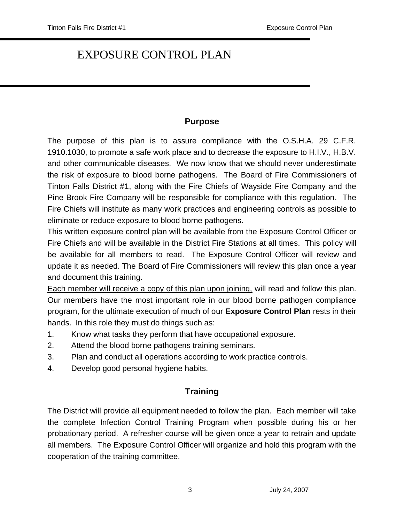### EXPOSURE CONTROL PLAN

#### **Purpose**

The purpose of this plan is to assure compliance with the O.S.H.A. 29 C.F.R. 1910.1030, to promote a safe work place and to decrease the exposure to H.I.V., H.B.V. and other communicable diseases. We now know that we should never underestimate the risk of exposure to blood borne pathogens. The Board of Fire Commissioners of Tinton Falls District #1, along with the Fire Chiefs of Wayside Fire Company and the Pine Brook Fire Company will be responsible for compliance with this regulation. The Fire Chiefs will institute as many work practices and engineering controls as possible to eliminate or reduce exposure to blood borne pathogens.

This written exposure control plan will be available from the Exposure Control Officer or Fire Chiefs and will be available in the District Fire Stations at all times. This policy will be available for all members to read. The Exposure Control Officer will review and update it as needed. The Board of Fire Commissioners will review this plan once a year and document this training.

Each member will receive a copy of this plan upon joining, will read and follow this plan. Our members have the most important role in our blood borne pathogen compliance program, for the ultimate execution of much of our **Exposure Control Plan** rests in their hands. In this role they must do things such as:

- 1. Know what tasks they perform that have occupational exposure.
- 2. Attend the blood borne pathogens training seminars.
- 3. Plan and conduct all operations according to work practice controls.
- 4. Develop good personal hygiene habits.

#### **Training**

The District will provide all equipment needed to follow the plan. Each member will take the complete Infection Control Training Program when possible during his or her probationary period. A refresher course will be given once a year to retrain and update all members. The Exposure Control Officer will organize and hold this program with the cooperation of the training committee.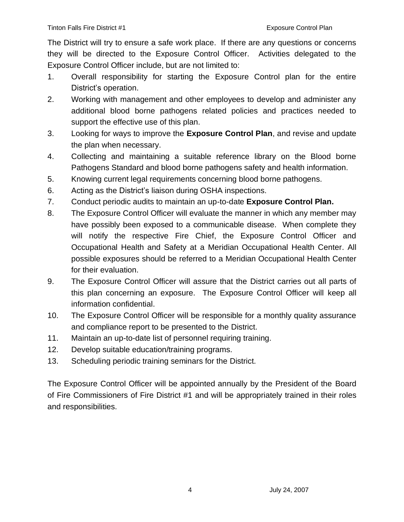The District will try to ensure a safe work place. If there are any questions or concerns they will be directed to the Exposure Control Officer. Activities delegated to the Exposure Control Officer include, but are not limited to:

- 1. Overall responsibility for starting the Exposure Control plan for the entire District's operation.
- 2. Working with management and other employees to develop and administer any additional blood borne pathogens related policies and practices needed to support the effective use of this plan.
- 3. Looking for ways to improve the **Exposure Control Plan**, and revise and update the plan when necessary.
- 4. Collecting and maintaining a suitable reference library on the Blood borne Pathogens Standard and blood borne pathogens safety and health information.
- 5. Knowing current legal requirements concerning blood borne pathogens.
- 6. Acting as the District's liaison during OSHA inspections.
- 7. Conduct periodic audits to maintain an up-to-date **Exposure Control Plan.**
- 8. The Exposure Control Officer will evaluate the manner in which any member may have possibly been exposed to a communicable disease. When complete they will notify the respective Fire Chief, the Exposure Control Officer and Occupational Health and Safety at a Meridian Occupational Health Center. All possible exposures should be referred to a Meridian Occupational Health Center for their evaluation.
- 9. The Exposure Control Officer will assure that the District carries out all parts of this plan concerning an exposure. The Exposure Control Officer will keep all information confidential.
- 10. The Exposure Control Officer will be responsible for a monthly quality assurance and compliance report to be presented to the District.
- 11. Maintain an up-to-date list of personnel requiring training.
- 12. Develop suitable education/training programs.
- 13. Scheduling periodic training seminars for the District.

The Exposure Control Officer will be appointed annually by the President of the Board of Fire Commissioners of Fire District #1 and will be appropriately trained in their roles and responsibilities.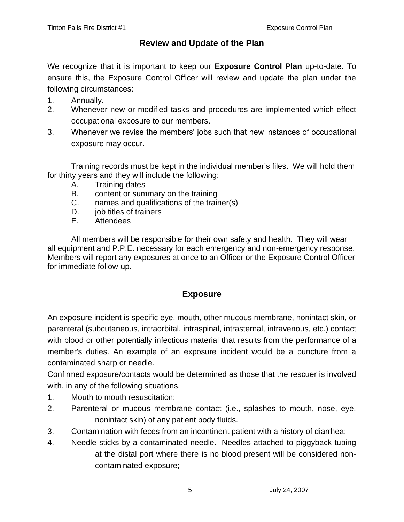#### **Review and Update of the Plan**

We recognize that it is important to keep our **Exposure Control Plan** up-to-date. To ensure this, the Exposure Control Officer will review and update the plan under the following circumstances:

- 1. Annually.
- 2. Whenever new or modified tasks and procedures are implemented which effect occupational exposure to our members.
- 3. Whenever we revise the members' jobs such that new instances of occupational exposure may occur.

Training records must be kept in the individual member's files. We will hold them for thirty years and they will include the following:

- A. Training dates
- B. content or summary on the training
- C. names and qualifications of the trainer(s)
- D. job titles of trainers
- E. Attendees

All members will be responsible for their own safety and health. They will wear all equipment and P.P.E. necessary for each emergency and non-emergency response. Members will report any exposures at once to an Officer or the Exposure Control Officer for immediate follow-up.

#### **Exposure**

An exposure incident is specific eye, mouth, other mucous membrane, nonintact skin, or parenteral (subcutaneous, intraorbital, intraspinal, intrasternal, intravenous, etc.) contact with blood or other potentially infectious material that results from the performance of a member's duties. An example of an exposure incident would be a puncture from a contaminated sharp or needle.

Confirmed exposure/contacts would be determined as those that the rescuer is involved with, in any of the following situations.

- 1. Mouth to mouth resuscitation;
- 2. Parenteral or mucous membrane contact (i.e., splashes to mouth, nose, eye, nonintact skin) of any patient body fluids.
- 3. Contamination with feces from an incontinent patient with a history of diarrhea;
- 4. Needle sticks by a contaminated needle. Needles attached to piggyback tubing at the distal port where there is no blood present will be considered noncontaminated exposure;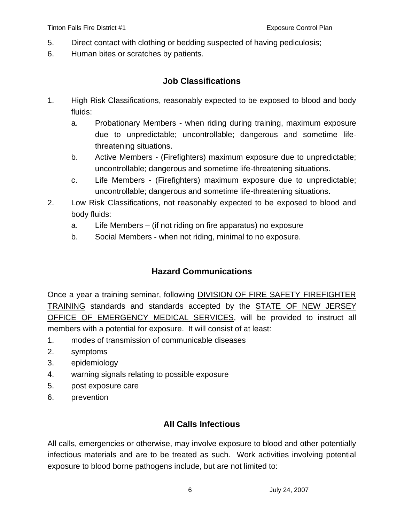- 5. Direct contact with clothing or bedding suspected of having pediculosis;
- 6. Human bites or scratches by patients.

#### **Job Classifications**

- 1. High Risk Classifications, reasonably expected to be exposed to blood and body fluids:
	- a. Probationary Members when riding during training, maximum exposure due to unpredictable; uncontrollable; dangerous and sometime lifethreatening situations.
	- b. Active Members (Firefighters) maximum exposure due to unpredictable; uncontrollable; dangerous and sometime life-threatening situations.
	- c. Life Members (Firefighters) maximum exposure due to unpredictable; uncontrollable; dangerous and sometime life-threatening situations.
- 2. Low Risk Classifications, not reasonably expected to be exposed to blood and body fluids:
	- a. Life Members (if not riding on fire apparatus) no exposure
	- b. Social Members when not riding, minimal to no exposure.

#### **Hazard Communications**

Once a year a training seminar, following DIVISION OF FIRE SAFETY FIREFIGHTER TRAINING standards and standards accepted by the STATE OF NEW JERSEY OFFICE OF EMERGENCY MEDICAL SERVICES, will be provided to instruct all members with a potential for exposure. It will consist of at least:

- 1. modes of transmission of communicable diseases
- 2. symptoms
- 3. epidemiology
- 4. warning signals relating to possible exposure
- 5. post exposure care
- 6. prevention

#### **All Calls Infectious**

All calls, emergencies or otherwise, may involve exposure to blood and other potentially infectious materials and are to be treated as such. Work activities involving potential exposure to blood borne pathogens include, but are not limited to: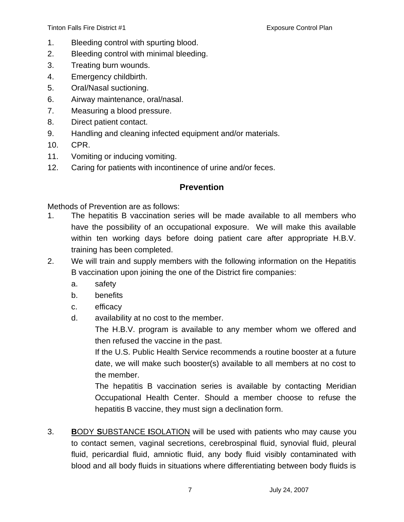- 1. Bleeding control with spurting blood.
- 2. Bleeding control with minimal bleeding.
- 3. Treating burn wounds.
- 4. Emergency childbirth.
- 5. Oral/Nasal suctioning.
- 6. Airway maintenance, oral/nasal.
- 7. Measuring a blood pressure.
- 8. Direct patient contact.
- 9. Handling and cleaning infected equipment and/or materials.
- 10. CPR.
- 11. Vomiting or inducing vomiting.
- 12. Caring for patients with incontinence of urine and/or feces.

#### **Prevention**

Methods of Prevention are as follows:

- 1. The hepatitis B vaccination series will be made available to all members who have the possibility of an occupational exposure. We will make this available within ten working days before doing patient care after appropriate H.B.V. training has been completed.
- 2. We will train and supply members with the following information on the Hepatitis B vaccination upon joining the one of the District fire companies:
	- a. safety
	- b. benefits
	- c. efficacy
	- d. availability at no cost to the member.

The H.B.V. program is available to any member whom we offered and then refused the vaccine in the past.

If the U.S. Public Health Service recommends a routine booster at a future date, we will make such booster(s) available to all members at no cost to the member.

The hepatitis B vaccination series is available by contacting Meridian Occupational Health Center. Should a member choose to refuse the hepatitis B vaccine, they must sign a declination form.

3. **B**ODY **S**UBSTANCE **I**SOLATION will be used with patients who may cause you to contact semen, vaginal secretions, cerebrospinal fluid, synovial fluid, pleural fluid, pericardial fluid, amniotic fluid, any body fluid visibly contaminated with blood and all body fluids in situations where differentiating between body fluids is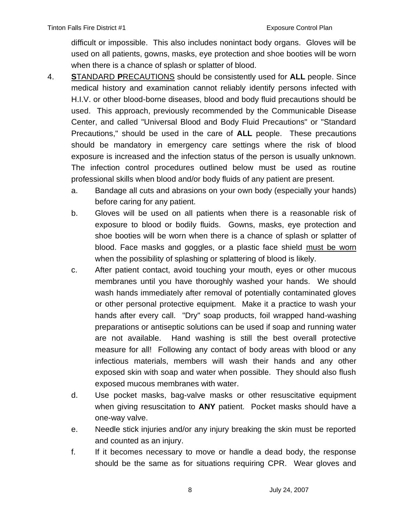difficult or impossible. This also includes nonintact body organs. Gloves will be used on all patients, gowns, masks, eye protection and shoe booties will be worn when there is a chance of splash or splatter of blood.

- 4. **S**TANDARD **P**RECAUTIONS should be consistently used for **ALL** people. Since medical history and examination cannot reliably identify persons infected with H.I.V. or other blood-borne diseases, blood and body fluid precautions should be used. This approach, previously recommended by the Communicable Disease Center, and called "Universal Blood and Body Fluid Precautions" or "Standard Precautions," should be used in the care of **ALL** people. These precautions should be mandatory in emergency care settings where the risk of blood exposure is increased and the infection status of the person is usually unknown. The infection control procedures outlined below must be used as routine professional skills when blood and/or body fluids of any patient are present.
	- a. Bandage all cuts and abrasions on your own body (especially your hands) before caring for any patient.
	- b. Gloves will be used on all patients when there is a reasonable risk of exposure to blood or bodily fluids. Gowns, masks, eye protection and shoe booties will be worn when there is a chance of splash or splatter of blood. Face masks and goggles, or a plastic face shield must be worn when the possibility of splashing or splattering of blood is likely.
	- c. After patient contact, avoid touching your mouth, eyes or other mucous membranes until you have thoroughly washed your hands. We should wash hands immediately after removal of potentially contaminated gloves or other personal protective equipment. Make it a practice to wash your hands after every call. "Dry" soap products, foil wrapped hand-washing preparations or antiseptic solutions can be used if soap and running water are not available. Hand washing is still the best overall protective measure for all! Following any contact of body areas with blood or any infectious materials, members will wash their hands and any other exposed skin with soap and water when possible. They should also flush exposed mucous membranes with water.
	- d. Use pocket masks, bag-valve masks or other resuscitative equipment when giving resuscitation to **ANY** patient. Pocket masks should have a one-way valve.
	- e. Needle stick injuries and/or any injury breaking the skin must be reported and counted as an injury.
	- f. If it becomes necessary to move or handle a dead body, the response should be the same as for situations requiring CPR. Wear gloves and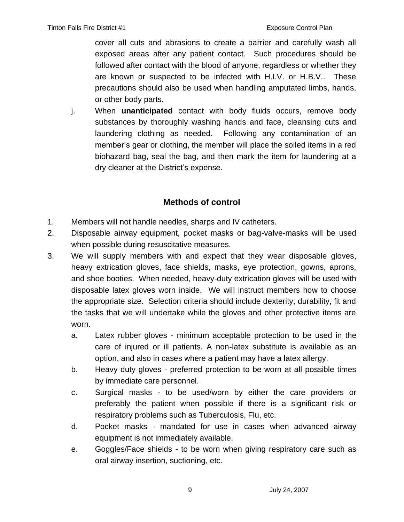cover all cuts and abrasions to create a barrier and carefully wash all exposed areas after any patient contact. Such procedures should be followed after contact with the blood of anyone, regardless or whether they are known or suspected to be infected with H.I.V. or H.B.V.. These precautions should also be used when handling amputated limbs, hands, or other body parts.

j. When **unanticipated** contact with body fluids occurs, remove body substances by thoroughly washing hands and face, cleansing cuts and laundering clothing as needed. Following any contamination of an member's gear or clothing, the member will place the soiled items in a red biohazard bag, seal the bag, and then mark the item for laundering at a dry cleaner at the District's expense.

#### **Methods of control**

- 1. Members will not handle needles, sharps and IV catheters.
- 2. Disposable airway equipment, pocket masks or bag-valve-masks will be used when possible during resuscitative measures.
- 3. We will supply members with and expect that they wear disposable gloves, heavy extrication gloves, face shields, masks, eye protection, gowns, aprons, and shoe booties. When needed, heavy-duty extrication gloves will be used with disposable latex gloves worn inside. We will instruct members how to choose the appropriate size. Selection criteria should include dexterity, durability, fit and the tasks that we will undertake while the gloves and other protective items are worn.
	- a. Latex rubber gloves minimum acceptable protection to be used in the care of injured or ill patients. A non-latex substitute is available as an option, and also in cases where a patient may have a latex allergy.
	- b. Heavy duty gloves preferred protection to be worn at all possible times by immediate care personnel.
	- c. Surgical masks to be used/worn by either the care providers or preferably the patient when possible if there is a significant risk or respiratory problems such as Tuberculosis, Flu, etc.
	- d. Pocket masks mandated for use in cases when advanced airway equipment is not immediately available.
	- e. Goggles/Face shields to be worn when giving respiratory care such as oral airway insertion, suctioning, etc.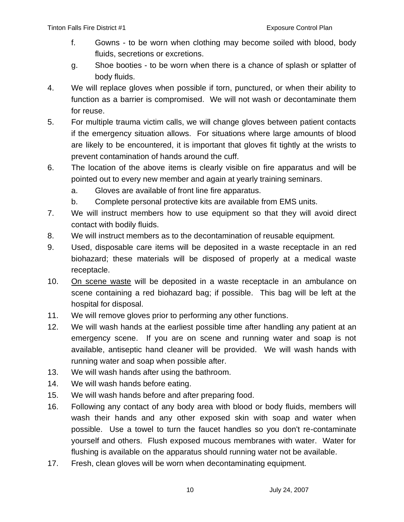- f. Gowns to be worn when clothing may become soiled with blood, body fluids, secretions or excretions.
- g. Shoe booties to be worn when there is a chance of splash or splatter of body fluids.
- 4. We will replace gloves when possible if torn, punctured, or when their ability to function as a barrier is compromised. We will not wash or decontaminate them for reuse.
- 5. For multiple trauma victim calls, we will change gloves between patient contacts if the emergency situation allows. For situations where large amounts of blood are likely to be encountered, it is important that gloves fit tightly at the wrists to prevent contamination of hands around the cuff.
- 6. The location of the above items is clearly visible on fire apparatus and will be pointed out to every new member and again at yearly training seminars.
	- a. Gloves are available of front line fire apparatus.
	- b. Complete personal protective kits are available from EMS units.
- 7. We will instruct members how to use equipment so that they will avoid direct contact with bodily fluids.
- 8. We will instruct members as to the decontamination of reusable equipment.
- 9. Used, disposable care items will be deposited in a waste receptacle in an red biohazard; these materials will be disposed of properly at a medical waste receptacle.
- 10. On scene waste will be deposited in a waste receptacle in an ambulance on scene containing a red biohazard bag; if possible. This bag will be left at the hospital for disposal.
- 11. We will remove gloves prior to performing any other functions.
- 12. We will wash hands at the earliest possible time after handling any patient at an emergency scene. If you are on scene and running water and soap is not available, antiseptic hand cleaner will be provided. We will wash hands with running water and soap when possible after.
- 13. We will wash hands after using the bathroom.
- 14. We will wash hands before eating.
- 15. We will wash hands before and after preparing food.
- 16. Following any contact of any body area with blood or body fluids, members will wash their hands and any other exposed skin with soap and water when possible. Use a towel to turn the faucet handles so you don't re-contaminate yourself and others. Flush exposed mucous membranes with water. Water for flushing is available on the apparatus should running water not be available.
- 17. Fresh, clean gloves will be worn when decontaminating equipment.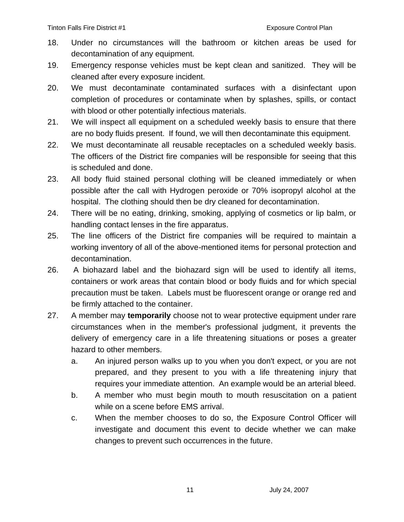- 18. Under no circumstances will the bathroom or kitchen areas be used for decontamination of any equipment.
- 19. Emergency response vehicles must be kept clean and sanitized. They will be cleaned after every exposure incident.
- 20. We must decontaminate contaminated surfaces with a disinfectant upon completion of procedures or contaminate when by splashes, spills, or contact with blood or other potentially infectious materials.
- 21. We will inspect all equipment on a scheduled weekly basis to ensure that there are no body fluids present. If found, we will then decontaminate this equipment.
- 22. We must decontaminate all reusable receptacles on a scheduled weekly basis. The officers of the District fire companies will be responsible for seeing that this is scheduled and done.
- 23. All body fluid stained personal clothing will be cleaned immediately or when possible after the call with Hydrogen peroxide or 70% isopropyl alcohol at the hospital. The clothing should then be dry cleaned for decontamination.
- 24. There will be no eating, drinking, smoking, applying of cosmetics or lip balm, or handling contact lenses in the fire apparatus.
- 25. The line officers of the District fire companies will be required to maintain a working inventory of all of the above-mentioned items for personal protection and decontamination.
- 26. A biohazard label and the biohazard sign will be used to identify all items, containers or work areas that contain blood or body fluids and for which special precaution must be taken. Labels must be fluorescent orange or orange red and be firmly attached to the container.
- 27. A member may **temporarily** choose not to wear protective equipment under rare circumstances when in the member's professional judgment, it prevents the delivery of emergency care in a life threatening situations or poses a greater hazard to other members.
	- a. An injured person walks up to you when you don't expect, or you are not prepared, and they present to you with a life threatening injury that requires your immediate attention. An example would be an arterial bleed.
	- b. A member who must begin mouth to mouth resuscitation on a patient while on a scene before EMS arrival.
	- c. When the member chooses to do so, the Exposure Control Officer will investigate and document this event to decide whether we can make changes to prevent such occurrences in the future.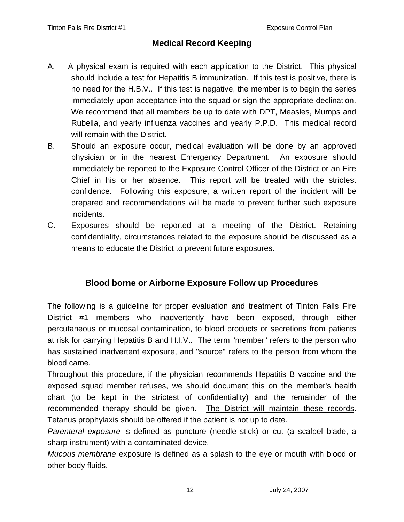#### **Medical Record Keeping**

- A. A physical exam is required with each application to the District. This physical should include a test for Hepatitis B immunization. If this test is positive, there is no need for the H.B.V.. If this test is negative, the member is to begin the series immediately upon acceptance into the squad or sign the appropriate declination. We recommend that all members be up to date with DPT, Measles, Mumps and Rubella, and yearly influenza vaccines and yearly P.P.D. This medical record will remain with the District.
- B. Should an exposure occur, medical evaluation will be done by an approved physician or in the nearest Emergency Department. An exposure should immediately be reported to the Exposure Control Officer of the District or an Fire Chief in his or her absence. This report will be treated with the strictest confidence. Following this exposure, a written report of the incident will be prepared and recommendations will be made to prevent further such exposure incidents.
- C. Exposures should be reported at a meeting of the District. Retaining confidentiality, circumstances related to the exposure should be discussed as a means to educate the District to prevent future exposures.

#### **Blood borne or Airborne Exposure Follow up Procedures**

The following is a guideline for proper evaluation and treatment of Tinton Falls Fire District #1 members who inadvertently have been exposed, through either percutaneous or mucosal contamination, to blood products or secretions from patients at risk for carrying Hepatitis B and H.I.V.. The term "member" refers to the person who has sustained inadvertent exposure, and "source" refers to the person from whom the blood came.

Throughout this procedure, if the physician recommends Hepatitis B vaccine and the exposed squad member refuses, we should document this on the member's health chart (to be kept in the strictest of confidentiality) and the remainder of the recommended therapy should be given. The District will maintain these records. Tetanus prophylaxis should be offered if the patient is not up to date.

*Parenteral exposure* is defined as puncture (needle stick) or cut (a scalpel blade, a sharp instrument) with a contaminated device.

*Mucous membrane* exposure is defined as a splash to the eye or mouth with blood or other body fluids.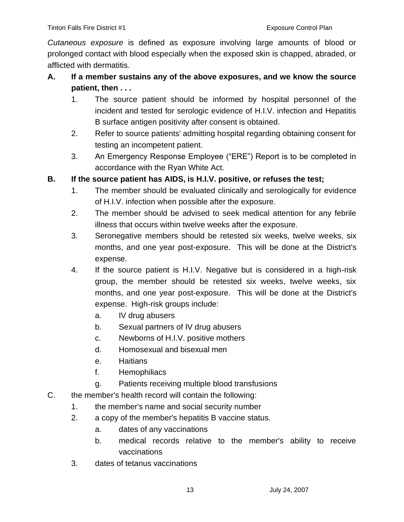*Cutaneous exposure* is defined as exposure involving large amounts of blood or prolonged contact with blood especially when the exposed skin is chapped, abraded, or afflicted with dermatitis.

- **A. If a member sustains any of the above exposures, and we know the source patient, then . . .**
	- 1. The source patient should be informed by hospital personnel of the incident and tested for serologic evidence of H.I.V. infection and Hepatitis B surface antigen positivity after consent is obtained.
	- 2. Refer to source patients' admitting hospital regarding obtaining consent for testing an incompetent patient.
	- 3. An Emergency Response Employee ("ERE") Report is to be completed in accordance with the Ryan White Act.

#### **B. If the source patient has AIDS, is H.I.V. positive, or refuses the test;**

- 1. The member should be evaluated clinically and serologically for evidence of H.I.V. infection when possible after the exposure.
- 2. The member should be advised to seek medical attention for any febrile illness that occurs within twelve weeks after the exposure.
- 3. Seronegative members should be retested six weeks, twelve weeks, six months, and one year post-exposure. This will be done at the District's expense.
- 4. If the source patient is H.I.V. Negative but is considered in a high-risk group, the member should be retested six weeks, twelve weeks, six months, and one year post-exposure. This will be done at the District's expense. High-risk groups include:
	- a. IV drug abusers
	- b. Sexual partners of IV drug abusers
	- c. Newborns of H.I.V. positive mothers
	- d. Homosexual and bisexual men
	- e. Haitians
	- f. Hemophiliacs
	- g. Patients receiving multiple blood transfusions
- C. the member's health record will contain the following:
	- 1. the member's name and social security number
	- 2. a copy of the member's hepatitis B vaccine status.
		- a. dates of any vaccinations
		- b. medical records relative to the member's ability to receive vaccinations
	- 3. dates of tetanus vaccinations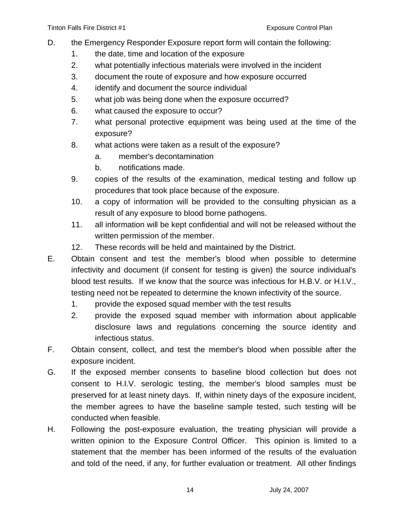- D. the Emergency Responder Exposure report form will contain the following:
	- 1. the date, time and location of the exposure
	- 2. what potentially infectious materials were involved in the incident
	- 3. document the route of exposure and how exposure occurred
	- 4. identify and document the source individual
	- 5. what job was being done when the exposure occurred?
	- 6. what caused the exposure to occur?
	- 7. what personal protective equipment was being used at the time of the exposure?
	- 8. what actions were taken as a result of the exposure?
		- a. member's decontamination
		- b. notifications made.
	- 9. copies of the results of the examination, medical testing and follow up procedures that took place because of the exposure.
	- 10. a copy of information will be provided to the consulting physician as a result of any exposure to blood borne pathogens.
	- 11. all information will be kept confidential and will not be released without the written permission of the member.
	- 12. These records will be held and maintained by the District.
- E. Obtain consent and test the member's blood when possible to determine infectivity and document (if consent for testing is given) the source individual's blood test results. If we know that the source was infectious for H.B.V. or H.I.V., testing need not be repeated to determine the known infectivity of the source.
	- 1. provide the exposed squad member with the test results
	- 2. provide the exposed squad member with information about applicable disclosure laws and regulations concerning the source identity and infectious status.
- F. Obtain consent, collect, and test the member's blood when possible after the exposure incident.
- G. If the exposed member consents to baseline blood collection but does not consent to H.I.V. serologic testing, the member's blood samples must be preserved for at least ninety days. If, within ninety days of the exposure incident, the member agrees to have the baseline sample tested, such testing will be conducted when feasible.
- H. Following the post-exposure evaluation, the treating physician will provide a written opinion to the Exposure Control Officer. This opinion is limited to a statement that the member has been informed of the results of the evaluation and told of the need, if any, for further evaluation or treatment. All other findings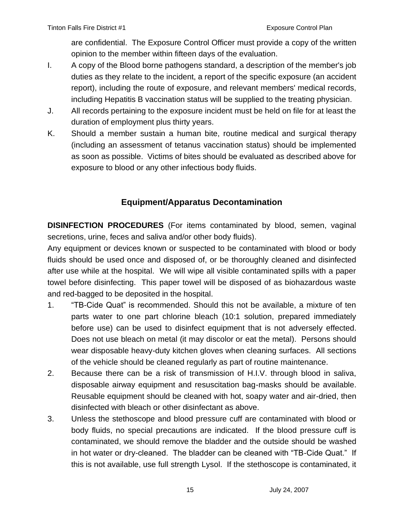are confidential. The Exposure Control Officer must provide a copy of the written opinion to the member within fifteen days of the evaluation.

- I. A copy of the Blood borne pathogens standard, a description of the member's job duties as they relate to the incident, a report of the specific exposure (an accident report), including the route of exposure, and relevant members' medical records, including Hepatitis B vaccination status will be supplied to the treating physician.
- J. All records pertaining to the exposure incident must be held on file for at least the duration of employment plus thirty years.
- K. Should a member sustain a human bite, routine medical and surgical therapy (including an assessment of tetanus vaccination status) should be implemented as soon as possible. Victims of bites should be evaluated as described above for exposure to blood or any other infectious body fluids.

#### **Equipment/Apparatus Decontamination**

**DISINFECTION PROCEDURES** (For items contaminated by blood, semen, vaginal secretions, urine, feces and saliva and/or other body fluids).

Any equipment or devices known or suspected to be contaminated with blood or body fluids should be used once and disposed of, or be thoroughly cleaned and disinfected after use while at the hospital. We will wipe all visible contaminated spills with a paper towel before disinfecting. This paper towel will be disposed of as biohazardous waste and red-bagged to be deposited in the hospital.

- 1. "TB-Cide Quat" is recommended. Should this not be available, a mixture of ten parts water to one part chlorine bleach (10:1 solution, prepared immediately before use) can be used to disinfect equipment that is not adversely effected. Does not use bleach on metal (it may discolor or eat the metal). Persons should wear disposable heavy-duty kitchen gloves when cleaning surfaces. All sections of the vehicle should be cleaned regularly as part of routine maintenance.
- 2. Because there can be a risk of transmission of H.I.V. through blood in saliva, disposable airway equipment and resuscitation bag-masks should be available. Reusable equipment should be cleaned with hot, soapy water and air-dried, then disinfected with bleach or other disinfectant as above.
- 3. Unless the stethoscope and blood pressure cuff are contaminated with blood or body fluids, no special precautions are indicated. If the blood pressure cuff is contaminated, we should remove the bladder and the outside should be washed in hot water or dry-cleaned. The bladder can be cleaned with "TB-Cide Quat." If this is not available, use full strength Lysol. If the stethoscope is contaminated, it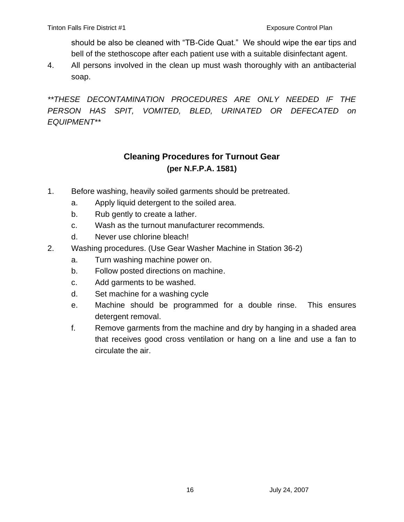should be also be cleaned with "TB-Cide Quat." We should wipe the ear tips and bell of the stethoscope after each patient use with a suitable disinfectant agent.

4. All persons involved in the clean up must wash thoroughly with an antibacterial soap.

*\*\*THESE DECONTAMINATION PROCEDURES ARE ONLY NEEDED IF THE PERSON HAS SPIT, VOMITED, BLED, URINATED OR DEFECATED on EQUIPMENT\*\**

#### **Cleaning Procedures for Turnout Gear (per N.F.P.A. 1581)**

- 1. Before washing, heavily soiled garments should be pretreated.
	- a. Apply liquid detergent to the soiled area.
	- b. Rub gently to create a lather.
	- c. Wash as the turnout manufacturer recommends.
	- d. Never use chlorine bleach!
- 2. Washing procedures. (Use Gear Washer Machine in Station 36-2)
	- a. Turn washing machine power on.
	- b. Follow posted directions on machine.
	- c. Add garments to be washed.
	- d. Set machine for a washing cycle
	- e. Machine should be programmed for a double rinse. This ensures detergent removal.
	- f. Remove garments from the machine and dry by hanging in a shaded area that receives good cross ventilation or hang on a line and use a fan to circulate the air.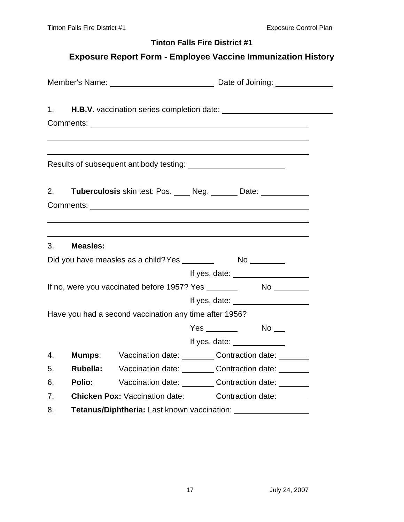#### **Tinton Falls Fire District #1**

#### **Exposure Report Form - Employee Vaccine Immunization History**

|    |                 |                                                                                 |                                   | 1. H.B.V. vaccination series completion date: __________________________________ |
|----|-----------------|---------------------------------------------------------------------------------|-----------------------------------|----------------------------------------------------------------------------------|
|    |                 |                                                                                 |                                   |                                                                                  |
|    |                 | 2. Tuberculosis skin test: Pos. Neg. Date: Date:                                |                                   |                                                                                  |
| 3. | <b>Measles:</b> |                                                                                 |                                   |                                                                                  |
|    |                 |                                                                                 |                                   |                                                                                  |
|    |                 |                                                                                 |                                   |                                                                                  |
|    |                 | Have you had a second vaccination any time after 1956?                          |                                   |                                                                                  |
|    |                 |                                                                                 |                                   |                                                                                  |
|    |                 |                                                                                 | If yes, date: $\sqrt{\frac{1}{2}$ |                                                                                  |
| 4. |                 | <b>Mumps:</b> Vaccination date: Contraction date: ______                        |                                   |                                                                                  |
| 5. |                 | Rubella: Vaccination date: Contraction date: ______                             |                                   |                                                                                  |
| 6. |                 | Polio: Vaccination date: Contraction date: Vaccination date:                    |                                   |                                                                                  |
| 7. |                 | Chicken Pox: Vaccination date: Contraction date: Chicken Pox: Vaccination date: |                                   |                                                                                  |
| 8. |                 | Tetanus/Diphtheria: Last known vaccination: ____________________                |                                   |                                                                                  |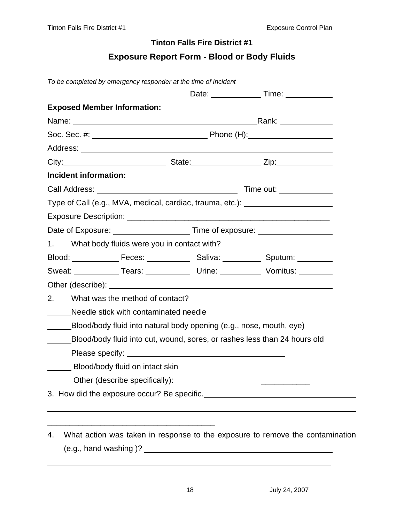#### **Tinton Falls Fire District #1**

#### **Exposure Report Form - Blood or Body Fluids**

*To be completed by emergency responder at the time of incident*

|                                                                                   | Date: _______________Time: _____________ |
|-----------------------------------------------------------------------------------|------------------------------------------|
| <b>Exposed Member Information:</b>                                                |                                          |
|                                                                                   |                                          |
|                                                                                   |                                          |
|                                                                                   |                                          |
|                                                                                   |                                          |
| <b>Incident information:</b>                                                      |                                          |
|                                                                                   |                                          |
| Type of Call (e.g., MVA, medical, cardiac, trauma, etc.): \[\equimediated:\]      |                                          |
|                                                                                   |                                          |
|                                                                                   |                                          |
| What body fluids were you in contact with?<br>1.                                  |                                          |
|                                                                                   |                                          |
| Sweat: _____________Tears: ________________Urine: ______________Vomitus: ________ |                                          |
|                                                                                   |                                          |
| 2.<br>What was the method of contact?                                             |                                          |
| Needle stick with contaminated needle                                             |                                          |
| Blood/body fluid into natural body opening (e.g., nose, mouth, eye)               |                                          |
| Blood/body fluid into cut, wound, sores, or rashes less than 24 hours old         |                                          |
|                                                                                   |                                          |
| Blood/body fluid on intact skin                                                   |                                          |
|                                                                                   |                                          |
|                                                                                   |                                          |

(e.g., hand washing )?

 $\overline{\phantom{a}}$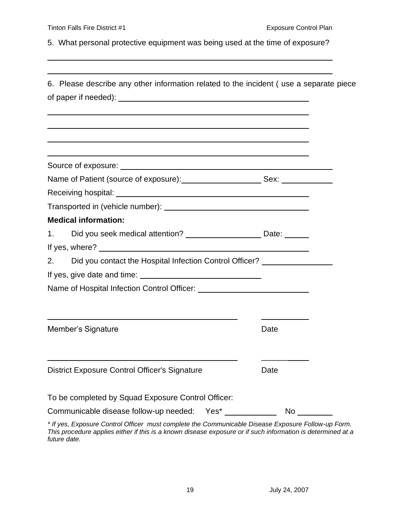5. What personal protective equipment was being used at the time of exposure?

| 6. Please describe any other information related to the incident (use a separate piece                                                                                                                                         |      |  |  |  |  |  |
|--------------------------------------------------------------------------------------------------------------------------------------------------------------------------------------------------------------------------------|------|--|--|--|--|--|
|                                                                                                                                                                                                                                |      |  |  |  |  |  |
|                                                                                                                                                                                                                                |      |  |  |  |  |  |
|                                                                                                                                                                                                                                |      |  |  |  |  |  |
|                                                                                                                                                                                                                                |      |  |  |  |  |  |
|                                                                                                                                                                                                                                |      |  |  |  |  |  |
|                                                                                                                                                                                                                                |      |  |  |  |  |  |
| Receiving hospital: University of the contract of the contract of the contract of the contract of the contract of the contract of the contract of the contract of the contract of the contract of the contract of the contract |      |  |  |  |  |  |
|                                                                                                                                                                                                                                |      |  |  |  |  |  |
| <b>Medical information:</b>                                                                                                                                                                                                    |      |  |  |  |  |  |
| Did you seek medical attention? _____________________Date: ______<br>1.                                                                                                                                                        |      |  |  |  |  |  |
|                                                                                                                                                                                                                                |      |  |  |  |  |  |
| 2.<br>Did you contact the Hospital Infection Control Officer?                                                                                                                                                                  |      |  |  |  |  |  |
|                                                                                                                                                                                                                                |      |  |  |  |  |  |
|                                                                                                                                                                                                                                |      |  |  |  |  |  |
|                                                                                                                                                                                                                                |      |  |  |  |  |  |
| Member's Signature                                                                                                                                                                                                             | Date |  |  |  |  |  |
| <b>District Exposure Control Officer's Signature</b>                                                                                                                                                                           | Date |  |  |  |  |  |
| To be completed by Squad Exposure Control Officer:                                                                                                                                                                             |      |  |  |  |  |  |
| Communicable disease follow-up needed:<br>Yes*                                                                                                                                                                                 | No   |  |  |  |  |  |

*\* If yes, Exposure Control Officer must complete the Communicable Disease Exposure Follow-up Form. This procedure applies either if this is a known disease exposure or if such information is determined at a future date.*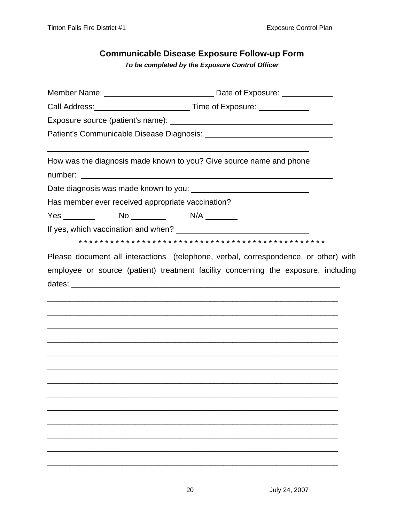#### **Communicable Disease Exposure Follow-up Form**

*To be completed by the Exposure Control Officer*

| Call Address: ______________________________Time of Exposure: __________________ |  |  |
|----------------------------------------------------------------------------------|--|--|
|                                                                                  |  |  |
|                                                                                  |  |  |
| How was the diagnosis made known to you? Give source name and phone              |  |  |
|                                                                                  |  |  |
| Has member ever received appropriate vaccination?                                |  |  |
|                                                                                  |  |  |
|                                                                                  |  |  |
|                                                                                  |  |  |
|                                                                                  |  |  |
|                                                                                  |  |  |
|                                                                                  |  |  |
|                                                                                  |  |  |
|                                                                                  |  |  |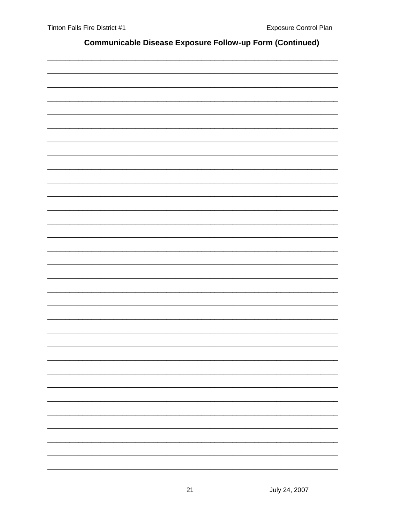#### **Communicable Disease Exposure Follow-up Form (Continued)**